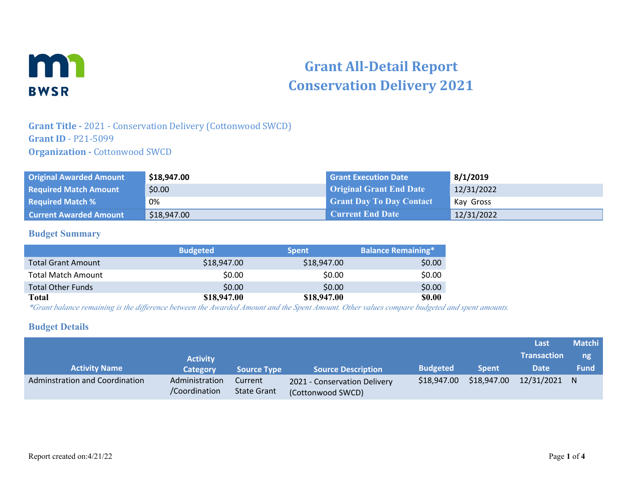

# **Grant All-Detail Report Conservation Delivery 2021**

### **Grant Title -** 2021 - Conservation Delivery (Cottonwood SWCD) **Grant ID** - P21-5099 **Organization - Cottonwood SWCD**

| <b>Original Awarded Amount</b> | \$18,947.00 | <b>Grant Execution Date</b>     | 8/1/2019   |
|--------------------------------|-------------|---------------------------------|------------|
| <b>Required Match Amount</b>   | \$0.00      | <b>Original Grant End Date</b>  | 12/31/2022 |
| <b>Required Match %</b>        | 0%          | <b>Grant Day To Day Contact</b> | Kay Gross  |
| <b>Current Awarded Amount</b>  | \$18,947.00 | <b>Current End Date</b>         | 12/31/2022 |

#### **Budget Summary**

|                           | <b>Budgeted</b> | <b>Spent</b> | <b>Balance Remaining*</b> |
|---------------------------|-----------------|--------------|---------------------------|
| <b>Total Grant Amount</b> | \$18,947.00     | \$18,947.00  | \$0.00                    |
| <b>Total Match Amount</b> | \$0.00          | \$0.00       | \$0.00                    |
| <b>Total Other Funds</b>  | \$0.00          | \$0.00       | \$0.00                    |
| Total                     | \$18,947.00     | \$18,947.00  | <b>\$0.00</b>             |

*\*Grant balance remaining is the difference between the Awarded Amount and the Spent Amount. Other values compare budgeted and spent amounts.*

#### **Budget Details**

|                                |                                 |                               |                                                   |                 |              | Last               | <b>Matchi</b> |
|--------------------------------|---------------------------------|-------------------------------|---------------------------------------------------|-----------------|--------------|--------------------|---------------|
|                                | <b>Activity</b>                 |                               |                                                   |                 |              | <b>Transaction</b> | ng            |
| <b>Activity Name</b>           | <b>Category</b>                 | <b>Source Type</b>            | <b>Source Description</b>                         | <b>Budgeted</b> | <b>Spent</b> | <b>Date</b>        | <b>Fund</b>   |
| Adminstration and Coordination | Administration<br>/Coordination | Current<br><b>State Grant</b> | 2021 - Conservation Delivery<br>(Cottonwood SWCD) | \$18,947.00     | \$18,947.00  | 12/31/2021 N       |               |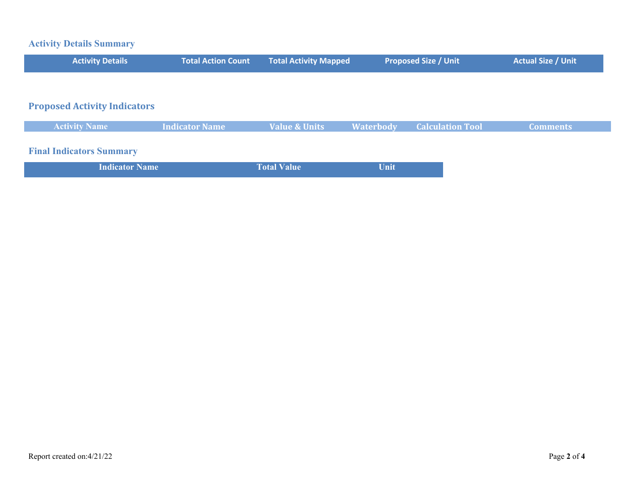## **Activity Details Summary**

| <b>Activity Details</b>             | <b>Total Action Count</b> | <b>Total Activity Mapped</b> |                  | <b>Proposed Size / Unit</b> | <b>Actual Size / Unit</b> |
|-------------------------------------|---------------------------|------------------------------|------------------|-----------------------------|---------------------------|
|                                     |                           |                              |                  |                             |                           |
| <b>Proposed Activity Indicators</b> |                           |                              |                  |                             |                           |
| <b>Activity Name</b>                | <b>Indicator Name</b>     | <b>Value &amp; Units</b>     | <b>Waterbody</b> | <b>Calculation Tool</b>     | <b>Comments</b>           |
| <b>Final Indicators Summary</b>     |                           |                              |                  |                             |                           |
| <b>Indicator Name</b>               |                           | <b>Total Value</b>           | Unit             |                             |                           |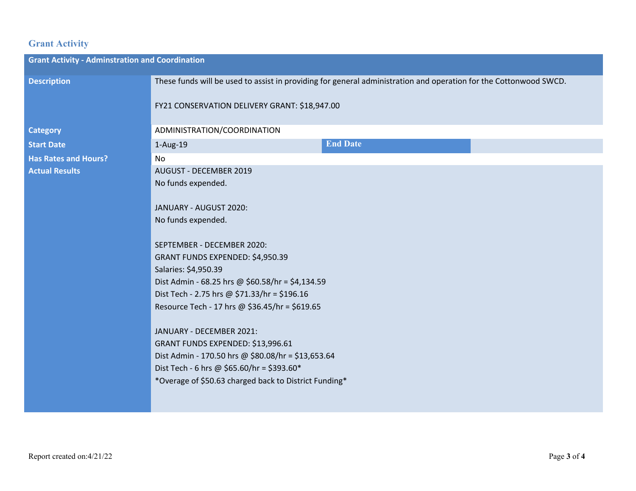## **Grant Activity**

| <b>Grant Activity - Adminstration and Coordination</b>                                                            |                                                                                                                                                                                                                                                               |  |  |  |  |
|-------------------------------------------------------------------------------------------------------------------|---------------------------------------------------------------------------------------------------------------------------------------------------------------------------------------------------------------------------------------------------------------|--|--|--|--|
| These funds will be used to assist in providing for general administration and operation for the Cottonwood SWCD. |                                                                                                                                                                                                                                                               |  |  |  |  |
| FY21 CONSERVATION DELIVERY GRANT: \$18,947.00                                                                     |                                                                                                                                                                                                                                                               |  |  |  |  |
| ADMINISTRATION/COORDINATION                                                                                       |                                                                                                                                                                                                                                                               |  |  |  |  |
| 1-Aug-19                                                                                                          | <b>End Date</b>                                                                                                                                                                                                                                               |  |  |  |  |
| No                                                                                                                |                                                                                                                                                                                                                                                               |  |  |  |  |
| <b>AUGUST - DECEMBER 2019</b>                                                                                     |                                                                                                                                                                                                                                                               |  |  |  |  |
|                                                                                                                   |                                                                                                                                                                                                                                                               |  |  |  |  |
|                                                                                                                   |                                                                                                                                                                                                                                                               |  |  |  |  |
|                                                                                                                   |                                                                                                                                                                                                                                                               |  |  |  |  |
|                                                                                                                   |                                                                                                                                                                                                                                                               |  |  |  |  |
|                                                                                                                   |                                                                                                                                                                                                                                                               |  |  |  |  |
| GRANT FUNDS EXPENDED: \$4,950.39                                                                                  |                                                                                                                                                                                                                                                               |  |  |  |  |
| Salaries: \$4,950.39                                                                                              |                                                                                                                                                                                                                                                               |  |  |  |  |
| Dist Admin - 68.25 hrs @ \$60.58/hr = \$4,134.59                                                                  |                                                                                                                                                                                                                                                               |  |  |  |  |
| Dist Tech - 2.75 hrs @ \$71.33/hr = \$196.16                                                                      |                                                                                                                                                                                                                                                               |  |  |  |  |
| Resource Tech - 17 hrs @ \$36.45/hr = \$619.65                                                                    |                                                                                                                                                                                                                                                               |  |  |  |  |
|                                                                                                                   |                                                                                                                                                                                                                                                               |  |  |  |  |
| JANUARY - DECEMBER 2021:                                                                                          |                                                                                                                                                                                                                                                               |  |  |  |  |
| GRANT FUNDS EXPENDED: \$13,996.61                                                                                 |                                                                                                                                                                                                                                                               |  |  |  |  |
|                                                                                                                   |                                                                                                                                                                                                                                                               |  |  |  |  |
|                                                                                                                   |                                                                                                                                                                                                                                                               |  |  |  |  |
|                                                                                                                   |                                                                                                                                                                                                                                                               |  |  |  |  |
|                                                                                                                   |                                                                                                                                                                                                                                                               |  |  |  |  |
|                                                                                                                   | No funds expended.<br>JANUARY - AUGUST 2020:<br>No funds expended.<br>SEPTEMBER - DECEMBER 2020:<br>Dist Admin - 170.50 hrs @ \$80.08/hr = \$13,653.64<br>Dist Tech - 6 hrs @ \$65.60/hr = \$393.60*<br>*Overage of \$50.63 charged back to District Funding* |  |  |  |  |